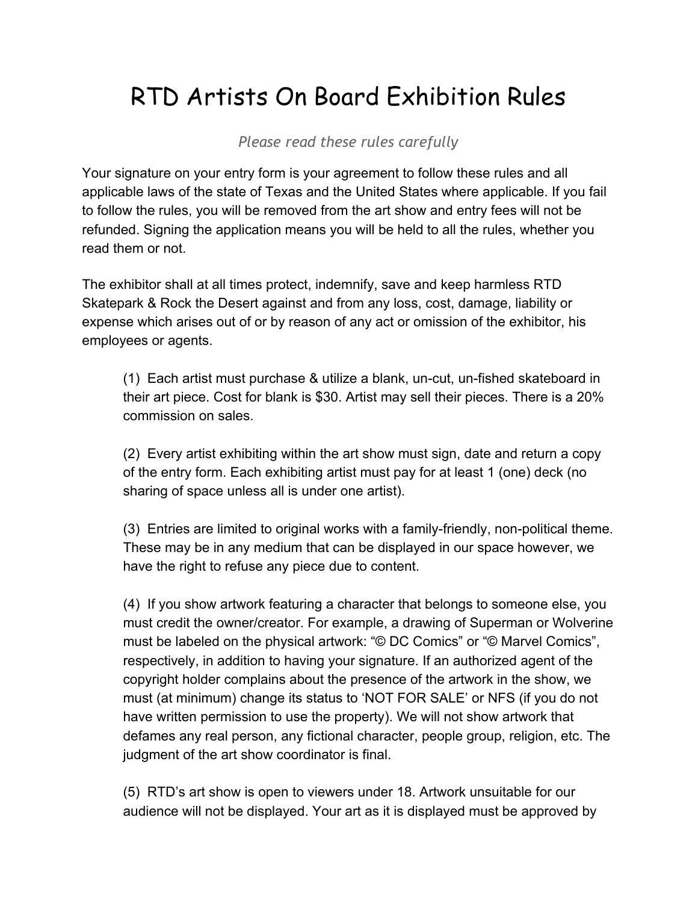## RTD Artists On Board Exhibition Rules

*Please read these rules carefully*

Your signature on your entry form is your agreement to follow these rules and all applicable laws of the state of Texas and the United States where applicable. If you fail to follow the rules, you will be removed from the art show and entry fees will not be refunded. Signing the application means you will be held to all the rules, whether you read them or not.

The exhibitor shall at all times protect, indemnify, save and keep harmless RTD Skatepark & Rock the Desert against and from any loss, cost, damage, liability or expense which arises out of or by reason of any act or omission of the exhibitor, his employees or agents.

(1) Each artist must purchase & utilize a blank, un-cut, un-fished skateboard in their art piece. Cost for blank is \$30. Artist may sell their pieces. There is a 20% commission on sales.

(2) Every artist exhibiting within the art show must sign, date and return a copy of the entry form. Each exhibiting artist must pay for at least 1 (one) deck (no sharing of space unless all is under one artist).

 $(3)$  Entries are limited to original works with a family-friendly, non-political theme. These may be in any medium that can be displayed in our space however, we have the right to refuse any piece due to content.

(4) If you show artwork featuring a character that belongs to someone else, you must credit the owner/creator. For example, a drawing of Superman or Wolverine must be labeled on the physical artwork: "© DC Comics" or "© Marvel Comics", respectively, in addition to having your signature. If an authorized agent of the copyright holder complains about the presence of the artwork in the show, we must (at minimum) change its status to 'NOT FOR SALE' or NFS (if you do not have written permission to use the property). We will not show artwork that defames any real person, any fictional character, people group, religion, etc. The judgment of the art show coordinator is final.

(5) RTD's art show is open to viewers under 18. Artwork unsuitable for our audience will not be displayed. Your art as it is displayed must be approved by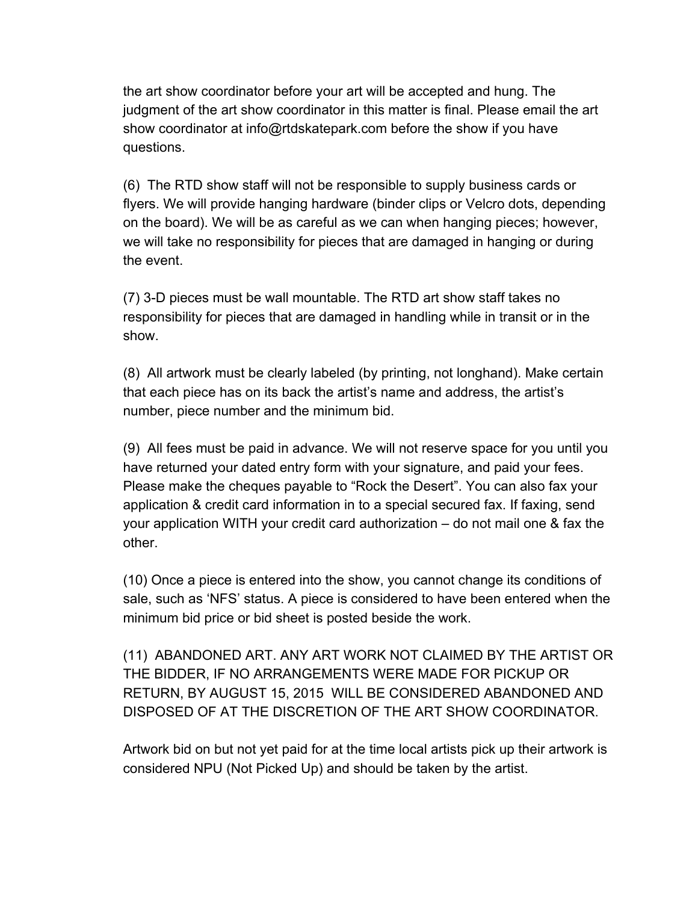the art show coordinator before your art will be accepted and hung. The judgment of the art show coordinator in this matter is final. Please email the art show coordinator at info@rtdskatepark.com before the show if you have questions.

(6) The RTD show staff will not be responsible to supply business cards or flyers. We will provide hanging hardware (binder clips or Velcro dots, depending on the board). We will be as careful as we can when hanging pieces; however, we will take no responsibility for pieces that are damaged in hanging or during the event.

(7) 3-D pieces must be wall mountable. The RTD art show staff takes no responsibility for pieces that are damaged in handling while in transit or in the show.

(8) All artwork must be clearly labeled (by printing, not longhand). Make certain that each piece has on its back the artist's name and address, the artist's number, piece number and the minimum bid.

(9) All fees must be paid in advance. We will not reserve space for you until you have returned your dated entry form with your signature, and paid your fees. Please make the cheques payable to "Rock the Desert". You can also fax your application & credit card information in to a special secured fax. If faxing, send your application WITH your credit card authorization – do not mail one & fax the other.

(10) Once a piece is entered into the show, you cannot change its conditions of sale, such as 'NFS' status. A piece is considered to have been entered when the minimum bid price or bid sheet is posted beside the work.

(11) ABANDONED ART. ANY ART WORK NOT CLAIMED BY THE ARTIST OR THE BIDDER, IF NO ARRANGEMENTS WERE MADE FOR PICKUP OR RETURN, BY AUGUST 15, 2015 WILL BE CONSIDERED ABANDONED AND DISPOSED OF AT THE DISCRETION OF THE ART SHOW COORDINATOR.

Artwork bid on but not yet paid for at the time local artists pick up their artwork is considered NPU (Not Picked Up) and should be taken by the artist.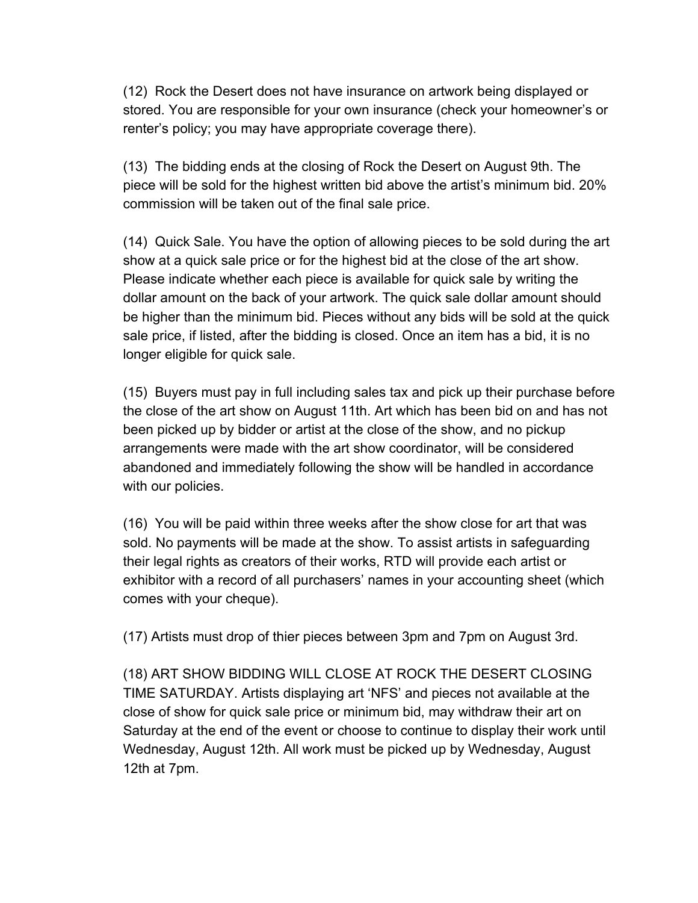(12) Rock the Desert does not have insurance on artwork being displayed or stored. You are responsible for your own insurance (check your homeowner's or renter's policy; you may have appropriate coverage there).

(13) The bidding ends at the closing of Rock the Desert on August 9th. The piece will be sold for the highest written bid above the artist's minimum bid. 20% commission will be taken out of the final sale price.

(14) Quick Sale. You have the option of allowing pieces to be sold during the art show at a quick sale price or for the highest bid at the close of the art show. Please indicate whether each piece is available for quick sale by writing the dollar amount on the back of your artwork. The quick sale dollar amount should be higher than the minimum bid. Pieces without any bids will be sold at the quick sale price, if listed, after the bidding is closed. Once an item has a bid, it is no longer eligible for quick sale.

(15) Buyers must pay in full including sales tax and pick up their purchase before the close of the art show on August 11th. Art which has been bid on and has not been picked up by bidder or artist at the close of the show, and no pickup arrangements were made with the art show coordinator, will be considered abandoned and immediately following the show will be handled in accordance with our policies.

(16) You will be paid within three weeks after the show close for art that was sold. No payments will be made at the show. To assist artists in safeguarding their legal rights as creators of their works, RTD will provide each artist or exhibitor with a record of all purchasers' names in your accounting sheet (which comes with your cheque).

(17) Artists must drop of thier pieces between 3pm and 7pm on August 3rd.

(18) ART SHOW BIDDING WILL CLOSE AT ROCK THE DESERT CLOSING TIME SATURDAY. Artists displaying art 'NFS' and pieces not available at the close of show for quick sale price or minimum bid, may withdraw their art on Saturday at the end of the event or choose to continue to display their work until Wednesday, August 12th. All work must be picked up by Wednesday, August 12th at 7pm.